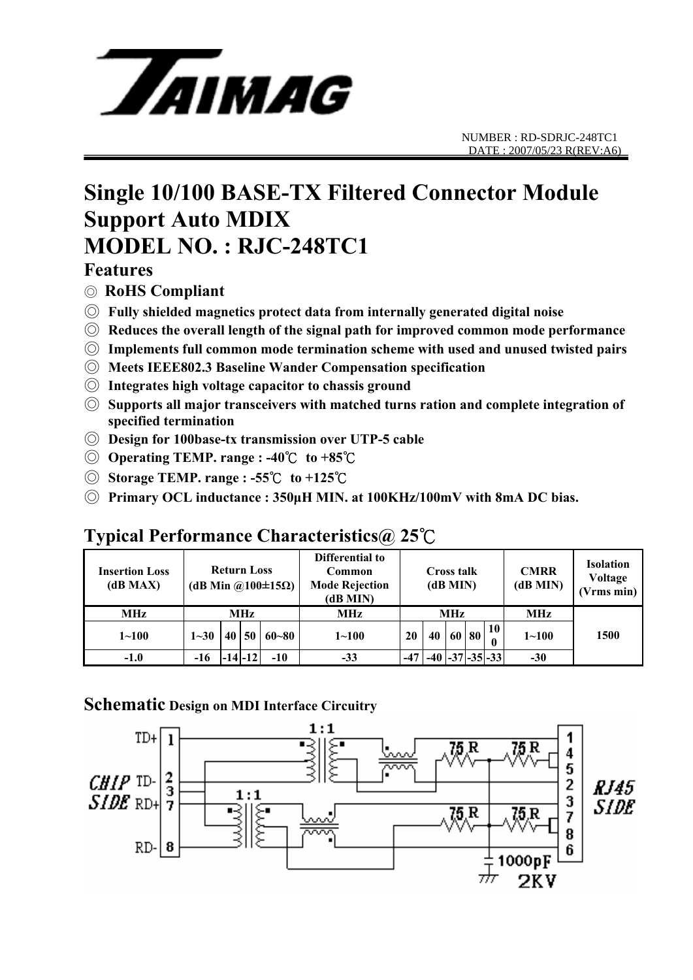

### **Single 10/100 BASE-TX Filtered Connector Module Support Auto MDIX MODEL NO. : RJC-248TC1**

#### **Features**

- ◎ **RoHS Compliant**
- ◎ **Fully shielded magnetics protect data from internally generated digital noise**
- ◎ **Reduces the overall length of the signal path for improved common mode performance**
- ◎ **Implements full common mode termination scheme with used and unused twisted pairs**
- ◎ **Meets IEEE802.3 Baseline Wander Compensation specification**
- ◎ **Integrates high voltage capacitor to chassis ground**
- ◎ **Supports all major transceivers with matched turns ration and complete integration of specified termination**
- ◎ **Design for 100base-tx transmission over UTP-5 cable**
- ◎ **Operating TEMP. range : -40**℃ **to +85**℃
- ◎ **Storage TEMP. range : -55**℃ **to +125**℃
- ◎ **Primary OCL inductance : 350μH MIN. at 100KHz/100mV with 8mA DC bias.**

### **Typical Performance Characteristics@ 25**℃

| <b>Insertion Loss</b><br>(dB MAX) | <b>Return Loss</b><br>(dB Min @100 $\pm$ 15 $\Omega$ ) |      |             |           | Differential to<br>Common<br><b>Mode Rejection</b><br>(dB MIN) | <b>Cross talk</b><br>(dB MIN) |                         |  |       | <b>CMRR</b><br>(dB MIN) | <b>Isolation</b><br>Voltage<br>(Vrms min) |      |
|-----------------------------------|--------------------------------------------------------|------|-------------|-----------|----------------------------------------------------------------|-------------------------------|-------------------------|--|-------|-------------------------|-------------------------------------------|------|
| <b>MHz</b>                        | MHz                                                    |      |             |           | MHz                                                            | MHz                           |                         |  |       |                         | <b>MHz</b>                                |      |
| $1 - 100$                         | $1 - 30$                                               | 40 l | 50          | $60 - 80$ | $1 - 100$                                                      | 20                            | 40                      |  | 60 80 | 10                      | $1 - 100$                                 | 1500 |
| $-1.0$                            | -16                                                    |      | $-14$ $-12$ | $-10$     | $-33$                                                          | $-47$                         | $-40$ $-37$ $-35$ $-33$ |  |       |                         | $-30$                                     |      |

#### **Schematic Design on MDI Interface Circuitry**

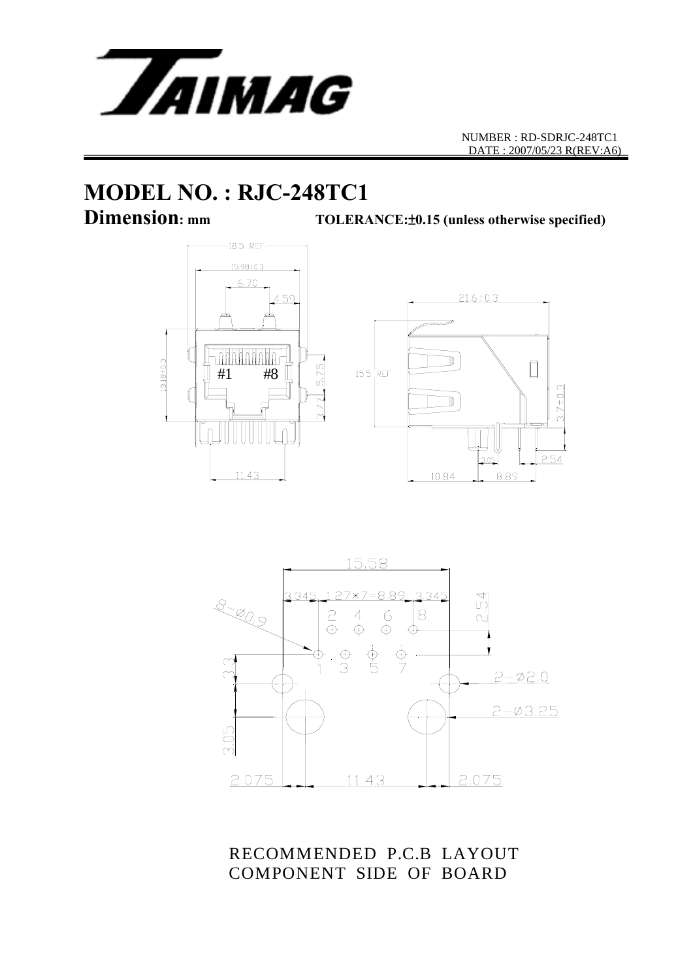

# **MODEL NO. : RJC-248TC1**

**Dimension: mm TOLERANCE:**±**0.15 (unless otherwise specified)**





RECOMMENDED P.C.B LAYOUT COMPONENT SIDE OF BOARD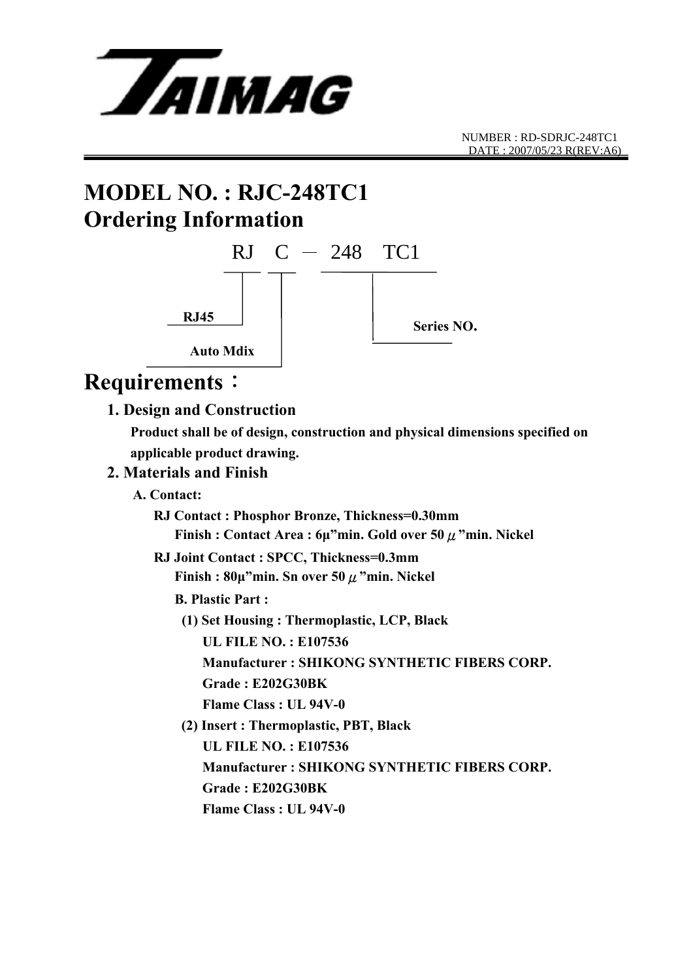

# **MODEL NO. : RJC-248TC1 Ordering Information**



### **Requirements**:

#### **1. Design and Construction**

 **Product shall be of design, construction and physical dimensions specified on applicable product drawing.** 

#### **2. Materials and Finish**

 **A. Contact:** 

 **RJ Contact : Phosphor Bronze, Thickness=0.30mm Finish : Contact Area : 6μ"min. Gold over 50**μ**"min. Nickel** 

#### **RJ Joint Contact : SPCC, Thickness=0.3mm Finish : 80μ"min. Sn over 50**μ**"min. Nickel**

- **B. Plastic Part :** 
	- **(1) Set Housing : Thermoplastic, LCP, Black UL FILE NO. : E107536 Manufacturer : SHIKONG SYNTHETIC FIBERS CORP.** 
		- **Grade : E202G30BK**
		- **Flame Class : UL 94V-0**
	- **(2) Insert : Thermoplastic, PBT, Black UL FILE NO. : E107536 Manufacturer : SHIKONG SYNTHETIC FIBERS CORP. Grade : E202G30BK Flame Class : UL 94V-0**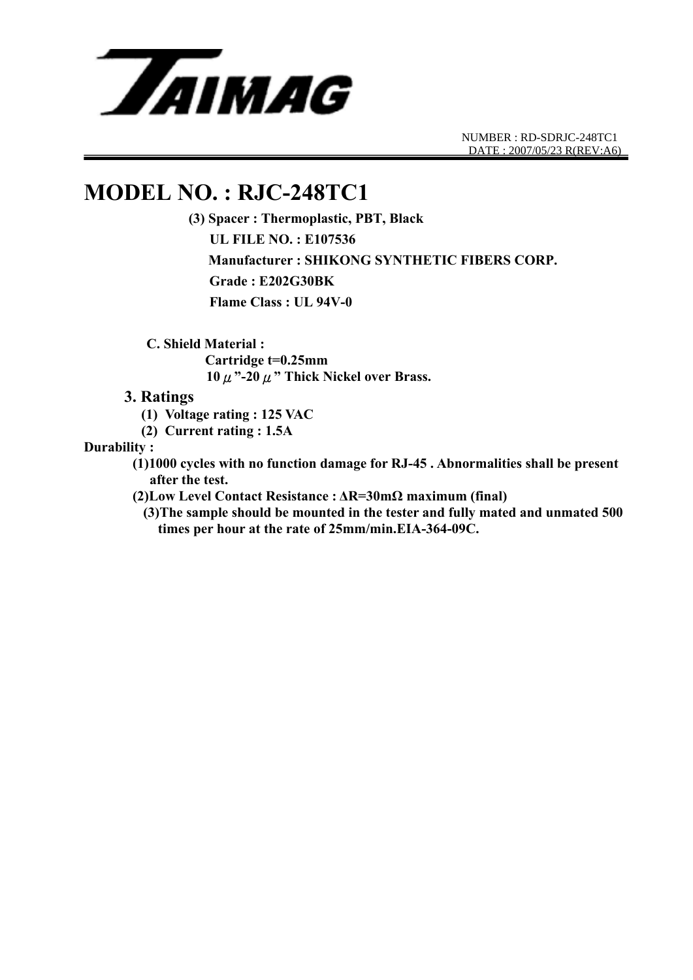

NUMBER : RD-SDRJC-248TC1 DATE : 2007/05/23 R(REV:A6)

### **MODEL NO. : RJC-248TC1**

**(3) Spacer : Thermoplastic, PBT, Black UL FILE NO. : E107536 Manufacturer : SHIKONG SYNTHETIC FIBERS CORP. Grade : E202G30BK Flame Class : UL 94V-0** 

 **C. Shield Material :** 

 **Cartridge t=0.25mm 10**μ**"-20**μ**" Thick Nickel over Brass.** 

#### **3. Ratings**

- **(1) Voltage rating : 125 VAC**
- **(2) Current rating : 1.5A**

**Durability :** 

 **(1)1000 cycles with no function damage for RJ-45 . Abnormalities shall be present after the test.** 

 **(2)Low Level Contact Resistance : ΔR=30mΩ maximum (final)** 

**(3)The sample should be mounted in the tester and fully mated and unmated 500 times per hour at the rate of 25mm/min.EIA-364-09C.**